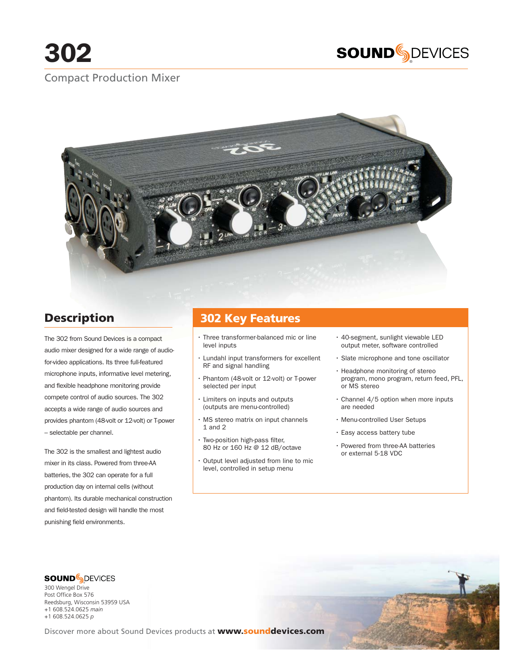

# Compact Production Mixer



# **Description**

The 302 from Sound Devices is a compact audio mixer designed for a wide range of audiofor-video applications. Its three full-featured microphone inputs, informative level metering, and flexible headphone monitoring provide compete control of audio sources. The 302 accepts a wide range of audio sources and provides phantom (48-volt or 12-volt) or T-power – selectable per channel.

The 302 is the smallest and lightest audio mixer in its class. Powered from three-AA batteries, the 302 can operate for a full production day on internal cells (without phantom). Its durable mechanical construction and field-tested design will handle the most punishing field environments.

# **302 Key Features**

- Three transformer-balanced mic or line level inputs
- Lundahl input transformers for excellent RF and signal handling
- Phantom (48-volt or 12-volt) or T-power selected per input
- Limiters on inputs and outputs (outputs are menu-controlled)
- MS stereo matrix on input channels 1 and 2
- Two-position high-pass filter, 80 Hz or 160 Hz @ 12 dB/octave
- Output level adjusted from line to mic level, controlled in setup menu
- 40-segment, sunlight viewable LED output meter, software controlled
- Slate microphone and tone oscillator
- Headphone monitoring of stereo program, mono program, return feed, PFL, or MS stereo
- Channel 4/5 option when more inputs are needed
- Menu-controlled User Setups
- Easy access battery tube
- Powered from three-AA batteries or external 5-18 VDC

® 300 Wengel Drive Post Office Box 576 Reedsburg, Wisconsin 53959 USA

+1 608.524.0625 *main* +1 608.524.0625 *p*

Discover more about Sound Devices products at **www.sounddevices.com**